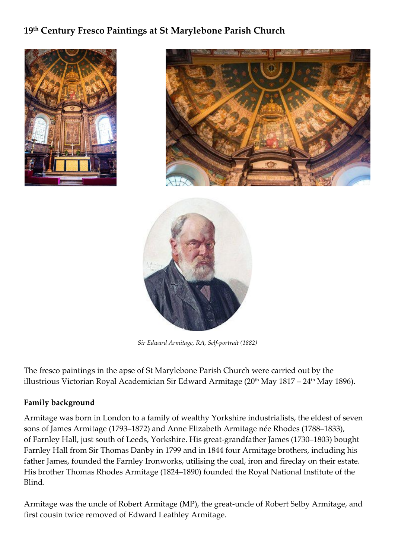### **19th Century Fresco Paintings at St Marylebone Parish Church**







*Sir Edward Armitage, RA, Self-portrait (1882)*

The fresco paintings in the apse of St Marylebone Parish Church were carried out by the illustrious Victorian Royal Academician Sir Edward Armitage ( $20<sup>th</sup>$  May  $1817 - 24<sup>th</sup>$  May  $1896$ ).

#### **Family background**

Armitage was born in London to a family of wealthy [Yorkshire](http://en.m.wikipedia.org/wiki/Yorkshire) industrialists, the eldest of seven sons of James Armitage (1793–1872) and Anne Elizabeth Armitage née Rhodes (1788–1833), of [Farnley](http://en.m.wikipedia.org/wiki/Farnley_Hall_(West_Yorkshire)) Hall, just south of [Leeds,](http://en.m.wikipedia.org/wiki/Leeds) [Yorkshire.](http://en.m.wikipedia.org/wiki/Yorkshire) His great-grandfather James (1730–1803) bought Farnley Hall from Sir Thomas Danby in 1799 and in 1844 four Armitage brothers, including his father James, founded the Farnley Ironworks, utilising the coal, iron and fireclay on their estate. His brother Thomas Rhodes [Armitage](http://en.m.wikipedia.org/wiki/Thomas_Armitage) (1824–1890) founded the Royal [National](http://en.m.wikipedia.org/wiki/Royal_National_Institute_of_the_Blind) Institute of the [Blind.](http://en.m.wikipedia.org/wiki/Royal_National_Institute_of_the_Blind)

Armitage was the uncle of Robert [Armitage](http://en.m.wikipedia.org/wiki/Robert_Armitage_(MP)) (MP), the great-uncle of Robert Selby [Armitage,](http://en.m.wikipedia.org/wiki/Robert_Selby_Armitage) and first cousin twice removed of Edward Leathley [Armitage.](http://en.m.wikipedia.org/wiki/Edward_Armitage_(cricketer))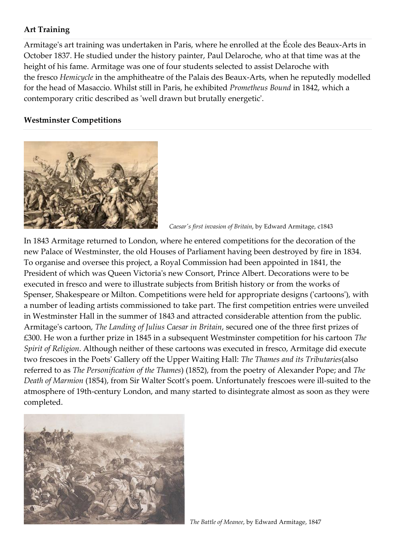#### **Art Training**

Armitage's art training was undertaken in Paris, where he enrolled at the École des [Beaux-Arts](http://en.m.wikipedia.org/wiki/%C3%89cole_nationale_sup%C3%A9rieure_des_Beaux-Arts) in October 1837. He studied under the history painter, Paul [Delaroche,](http://en.m.wikipedia.org/wiki/Paul_Delaroche) who at that time was at the height of his fame. Armitage was one of four students selected to assist Delaroche with the [fresco](http://en.m.wikipedia.org/wiki/Fresco) *Hemicycle* in the amphitheatre of the Palais des Beaux-Arts, when he reputedly modelled for the head of [Masaccio.](http://en.m.wikipedia.org/wiki/Masaccio) Whilst still in Paris, he exhibited *Prometheus Bound* in 1842, which a contemporary critic described as 'well drawn but brutally energetic'.

#### **Westminster Competitions**



 *[Caesar's](http://en.m.wikipedia.org/wiki/Caesar%27s_invasions_of_Britain) first invasion of Britain*, by Edward Armitage, c1843

In 1843 Armitage returned to London, where he entered competitions for the decoration of the new Palace of [Westminster,](http://en.m.wikipedia.org/wiki/Palace_of_Westminster#Frescoes) the old Houses of Parliament having been destroyed by fire in 1834. To organise and oversee this project, a Royal Commission had been appointed in 1841, the President of which was Queen [Victoria'](http://en.m.wikipedia.org/wiki/Queen_Victoria)s new Consort, Prince [Albert.](http://en.m.wikipedia.org/wiki/Albert,_Prince_Consort) Decorations were to be executed in fresco and were to illustrate subjects from British history or from the works of [Spenser,](http://en.m.wikipedia.org/wiki/Edmund_Spenser) [Shakespeare](http://en.m.wikipedia.org/wiki/Shakespeare) or [Milton.](http://en.m.wikipedia.org/wiki/John_Milton) Competitions were held for appropriate designs ('cartoons'), with a number of leading artists commissioned to take part. The first competition entries were unveiled in Westminster Hall in the summer of 1843 and attracted considerable attention from the public. Armitage's cartoon, *The Landing of Julius Caesar in Britain*, secured one of the three first prizes of £300. He won a further prize in 1845 in a subsequent Westminster competition for his cartoon *The Spirit of Religion*. Although neither of these cartoons was executed in fresco, Armitage did execute two frescoes in the Poets' Gallery off the Upper Waiting Hall: *The Thames and its Tributaries*(also referred to as *The Personification of the Thames*) (1852), from the poetry of [Alexander](http://en.m.wikipedia.org/wiki/Alexander_Pope) Pope; and *The Death of Marmion* (1854), from Sir [Walter](http://en.m.wikipedia.org/wiki/Sir_Walter_Scott) Scott's poem. Unfortunately frescoes were ill-suited to the atmosphere of 19th-century London, and many started to disintegrate almost as soon as they were completed.



*The Battle of Meanee*, by Edward Armitage, 1847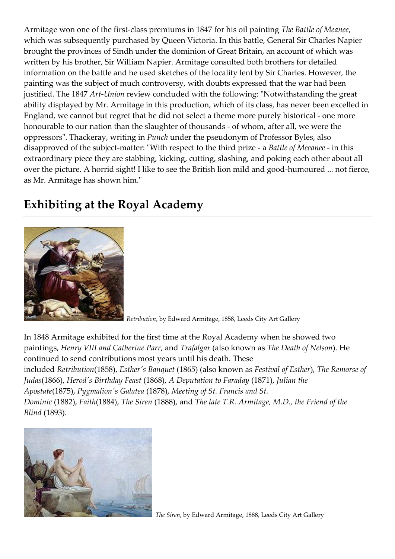Armitage won one of the first-class premiums in 1847 for his oil painting *The Battle of Meanee*, which was subsequently purchased by Queen Victoria. In this battle, General Sir Charles Napier brought the provinces of Sindh under the dominion of Great Britain, an account of which was written by his brother, Sir William Napier. Armitage consulted both brothers for detailed information on the battle and he used sketches of the locality lent by Sir Charles. However, the painting was the subject of much controversy, with doubts expressed that the war had been justified. The 1847 *Art-Union* review concluded with the following: "Notwithstanding the great ability displayed by Mr. Armitage in this production, which of its class, has never been excelled in England, we cannot but regret that he did not select a theme more purely historical - one more honourable to our nation than the slaughter of thousands - of whom, after all, we were the oppressors". Thackeray, writing in *Punch* under the pseudonym of Professor Byles, also disapproved of the subject-matter: "With respect to the third prize - a *Battle of Meeanee* - in this extraordinary piece they are stabbing, kicking, cutting, slashing, and poking each other about all over the picture. A horrid sight! I like to see the British lion mild and good-humoured ... not fierce, as Mr. Armitage has shown him."

## **Exhibiting at the Royal Academy**



 *Retribution*, by Edward Armitage, 1858, Leeds City Art Gallery

In 1848 Armitage exhibited for the first time at the Royal [Academy](http://en.m.wikipedia.org/wiki/Royal_Academy) when he showed two paintings, *[Henry](http://en.m.wikipedia.org/wiki/Henry_VIII_of_England) VIII and [Catherine](http://en.m.wikipedia.org/wiki/Catherine_Parr) Parr*, and *Trafalgar* (also known as *The Death of Nelson*). He continued to send contributions most years until his death. These included *Retribution*(1858), *Esther's Banquet* (1865) (also known as *Festival of Esther*), *The Remorse of Judas*(1866), *Herod's Birthday Feast* (1868), *A Deputation to Faraday* (1871), *Julian the Apostate*(1875), *Pygmalion's Galatea* (1878), *Meeting of St. Francis and St. Dominic* (1882), *Faith*(1884), *The Siren* (1888), and *The late T.R. Armitage, M.D., the Friend of the Blind* (1893).



 *The Siren*, by Edward Armitage, 1888, Leeds City Art Gallery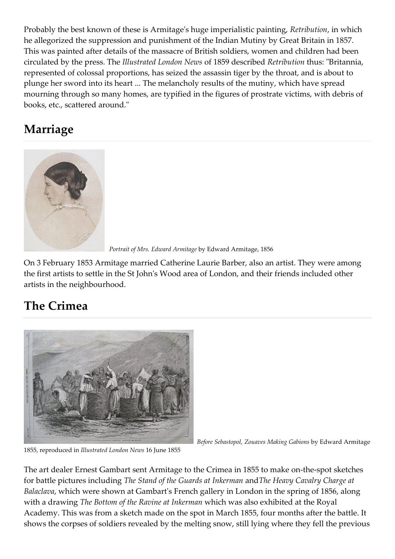Probably the best known of these is Armitage's huge imperialistic painting, *Retribution*, in which he allegorized the suppression and punishment of the Indian Mutiny by Great Britain in 1857. This was painted after details of the massacre of British soldiers, women and children had been circulated by the press. The *Illustrated London News* of 1859 described *Retribution* thus: "Britannia, represented of colossal proportions, has seized the assassin tiger by the throat, and is about to plunge her sword into its heart ... The melancholy results of the mutiny, which have spread mourning through so many homes, are typified in the figures of prostrate victims, with debris of books, etc., scattered around."

# **Marriage**



 *Portrait of Mrs. Edward Armitage* by Edward Armitage, 1856

On 3 February 1853 Armitage married Catherine Laurie Barber, also an artist. They were among the first artists to settle in the St John's Wood area of London, and their friends included other artists in the neighbourhood.

# **The Crimea**



*Before Sebastopol, Zouaves Making Gabions* by Edward Armitage

1855, reproduced in *Illustrated London News* 16 June 1855

The art dealer Ernest [Gambart](http://en.m.wikipedia.org/wiki/Ernest_Gambart) sent Armitage to the [Crimea](http://en.m.wikipedia.org/wiki/Crimea) in 1855 to make on-the-spot sketches for battle pictures including *The Stand of the Guards at Inkerman* and*The Heavy Cavalry Charge at Balaclava*, which were shown at Gambart's French gallery in London in the spring of 1856, along with a drawing *The Bottom of the Ravine at Inkerman* which was also exhibited at the Royal Academy. This was from a sketch made on the spot in March 1855, four months after the battle. It shows the corpses of soldiers revealed by the melting snow, still lying where they fell the previous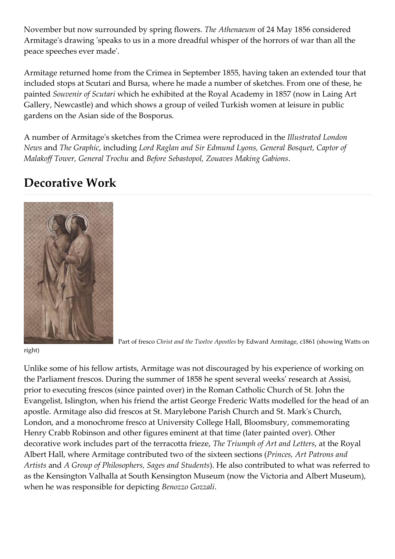November but now surrounded by spring flowers. *The Athenaeum* of 24 May 1856 considered Armitage's drawing 'speaks to us in a more dreadful whisper of the horrors of war than all the peace speeches ever made'.

Armitage returned home from the Crimea in September 1855, having taken an extended tour that included stops at Scutari and Bursa, where he made a number of sketches. From one of these, he painted *Souvenir of Scutari* which he exhibited at the Royal Academy in 1857 (now in [Laing](http://en.m.wikipedia.org/wiki/Laing_Art_Gallery) Art [Gallery,](http://en.m.wikipedia.org/wiki/Laing_Art_Gallery) Newcastle) and which shows a group of veiled Turkish women at leisure in public gardens on the Asian side of the Bosporus.

A number of Armitage's sketches from the Crimea were reproduced in the *Illustrated London News* and *The Graphic*, including *Lord Raglan and Sir Edmund Lyons, General Bosquet, Captor of Malakoff Tower, General Trochu* and *Before Sebastopol, Zouaves Making Gabions*.

## **Decorative Work**



Part of fresco *Christ and the Twelve Apostles* by Edward Armitage, c1861 (showing Watts on

#### right)

Unlike some of his fellow artists, Armitage was not discouraged by his experience of working on the Parliament frescos. During the summer of 1858 he spent several weeks' research at Assisi, prior to executing frescos (since painted over) in the Roman Catholic Church of St. John the Evangelist, Islington, when his friend the artist George [Frederic](http://en.m.wikipedia.org/wiki/George_Frederic_Watts) Watts modelled for the head of an apostle. Armitage also did frescos at St. Marylebone Parish Church and St. Mark's Church, London, and a monochrome fresco at University College Hall, Bloomsbury, commemorating Henry Crabb [Robinson](http://en.m.wikipedia.org/wiki/Henry_Crabb_Robinson) and other figures eminent at that time (later painted over). Other decorative work includes part of the terracotta frieze, *The Triumph of Art and Letters*, at the Royal Albert Hall, where Armitage contributed two of the sixteen sections (*Princes, Art Patrons and Artists* and *A Group of Philosophers, Sages and Students*). He also contributed to what was referred to as the Kensington Valhalla at South Kensington Museum (now the Victoria and Albert Museum), when he was responsible for depicting *Benozzo Gozzali*.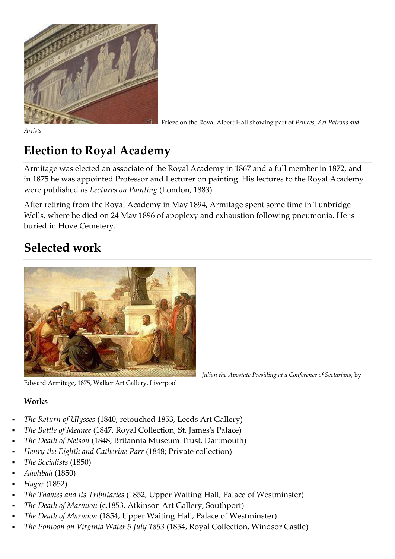

Frieze on the Royal Albert Hall showing part of *Princes, Art Patrons and*

*Artists*

# **Election to Royal Academy**

Armitage was elected an associate of the Royal Academy in 1867 and a full member in 1872, and in 1875 he was appointed Professor and Lecturer on painting. His lectures to the Royal Academy were published as *Lectures on Painting* (London, 1883).

After retiring from the Royal Academy in May 1894, Armitage spent some time in Tunbridge Wells, where he died on 24 May 1896 of apoplexy and exhaustion following pneumonia. He is buried in Hove Cemetery.

## **Selected work**



Edward Armitage, 1875, Walker Art Gallery, Liverpool

#### **Works**

- *The Return of Ulysses* (1840, retouched 1853, Leeds Art [Gallery\)](http://en.m.wikipedia.org/wiki/Leeds_Art_Gallery)
- *The Battle of Meanee* (1847, Royal Collection, St. James's Palace)
- *The Death of Nelson* (1848, Britannia Museum Trust, Dartmouth)
- *Henry the Eighth and Catherine Parr* (1848; Private collection)
- *The Socialists* (1850)
- *Aholibah* (1850)
- *Hagar* (1852)
- *The Thames and its Tributaries* (1852, Upper Waiting Hall, Palace of [Westminster\)](http://en.m.wikipedia.org/wiki/Palace_of_Westminster)
- *The Death of Marmion* (c.1853, Atkinson Art Gallery, Southport)
- *The Death of Marmion* (1854, Upper Waiting Hall, Palace of [Westminster\)](http://en.m.wikipedia.org/wiki/Palace_of_Westminster)
- *The Pontoon on Virginia Water 5 July 1853* (1854, Royal Collection, Windsor Castle)

*Julian the Apostate Presiding at a Conference of Sectarians*, by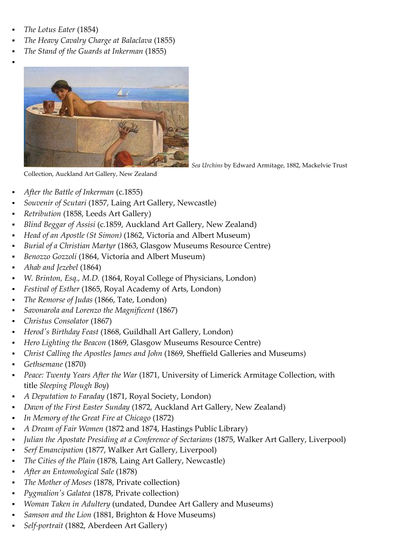*The Lotus Eater* (1854)

.

- *The Heavy Cavalry Charge at Balaclava* (1855)
- *The Stand of the Guards at Inkerman* (1855)



 *Sea Urchins* by Edward Armitage, 1882, Mackelvie Trust

Collection, Auckland Art Gallery, New Zealand

- *After the Battle of Inkerman* (c.1855)
- *Souvenir of Scutari* (1857, Laing Art [Gallery,](http://en.m.wikipedia.org/wiki/Laing_Art_Gallery) Newcastle)
- *Retribution* (1858, Leeds Art [Gallery\)](http://en.m.wikipedia.org/wiki/Leeds_Art_Gallery)
- *Blind Beggar of Assisi* (c.1859, [Auckland](http://en.m.wikipedia.org/wiki/Auckland_Art_Gallery) Art Gallery, New Zealand)
- *Head of an Apostle (St Simon)* (1862, Victoria and Albert [Museum\)](http://en.m.wikipedia.org/wiki/Victoria_and_Albert_Museum)
- *Burial of a Christian Martyr* (1863, Glasgow Museums Resource Centre)
- *[Benozzo](http://en.m.wikipedia.org/wiki/Benozzo_Gozzoli) Gozzoli* (1864, Victoria and Albert [Museum\)](http://en.m.wikipedia.org/wiki/Victoria_and_Albert_Museum)
- *Ahab and Jezebel* (1864)
- *W. Brinton, Esq., M.D.* (1864, Royal College of [Physicians,](http://en.m.wikipedia.org/wiki/Royal_College_of_Physicians) London)
- *Festival of Esther* (1865, Royal [Academy](http://en.m.wikipedia.org/wiki/Royal_Academy_of_Arts,_London) of Arts, London)
- *The Remorse of [Judas](http://en.m.wikipedia.org/wiki/Judas_Iscariot)* (1866, [Tate,](http://en.m.wikipedia.org/wiki/Tate) London)
- *Savonarola and Lorenzo the Magnificent* (1867)
- *Christus Consolator* (1867)
- *Herod's Birthday Feast* (1868, [Guildhall](http://en.m.wikipedia.org/wiki/Guildhall_Art_Gallery) Art Gallery, London)
- *Hero Lighting the Beacon* (1869, Glasgow Museums Resource Centre)
- *Christ Calling the Apostles James and John* (1869, Sheffield Galleries and Museums)
- *Gethsemane* (1870)
- *Peace: Twenty Years After the War* (1871, University of Limerick Armitage Collection, with title *Sleeping Plough Boy*)
- *A Deputation to Faraday* (1871, Royal [Society,](http://en.m.wikipedia.org/wiki/Royal_Society) London)
- *Dawn of the First Easter Sunday* (1872, [Auckland](http://en.m.wikipedia.org/wiki/Auckland_Art_Gallery) Art Gallery, New Zealand)
- *In Memory of the Great Fire at Chicago* (1872)
- *A Dream of Fair Women* (1872 and 1874, Hastings Public Library)
- *Julian the Apostate Presiding at a Conference of Sectarians* (1875, Walker Art Gallery, [Liverpool\)](http://en.m.wikipedia.org/wiki/Walker_Art_Gallery,_Liverpool)
- *Serf Emancipation* (1877, Walker Art Gallery, [Liverpool\)](http://en.m.wikipedia.org/wiki/Walker_Art_Gallery,_Liverpool)
- *The Cities of the Plain* (1878, Laing Art [Gallery,](http://en.m.wikipedia.org/wiki/Laing_Art_Gallery) Newcastle)
- *After an Entomological Sale* (1878)
- *The Mother of Moses* (1878, Private collection)
- *Pygmalion's Galatea* (1878, Private collection)
- *Woman Taken in Adultery* (undated, Dundee Art Gallery and Museums)
- *Samson and the Lion* (1881, Brighton & Hove Museums)
- *Self-portrait* (1882, [Aberdeen](http://en.m.wikipedia.org/wiki/Aberdeen_Art_Gallery) Art Gallery)